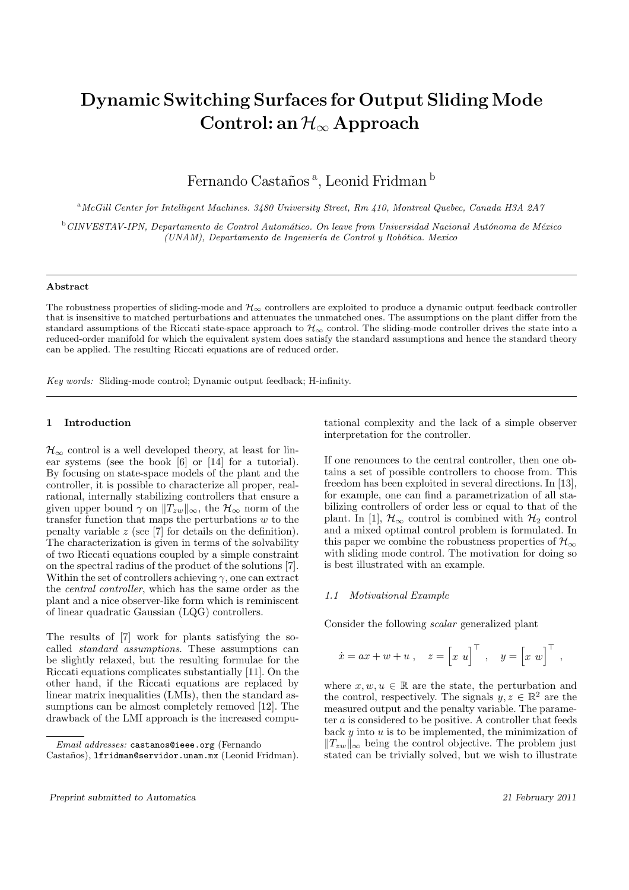# Dynamic Switching Surfaces for Output SlidingMode Control: an  $\mathcal{H}_{\infty}$  Approach

Fernando Castaños<sup>a</sup>, Leonid Fridman<sup>b</sup>

<sup>a</sup>*McGill Center for Intelligent Machines. 3480 University Street, Rm 410, Montreal Quebec, Canada H3A 2A7*

<sup>b</sup> CINVESTAV-IPN, Departamento de Control Automático. On leave from Universidad Nacional Autónoma de México *(UNAM), Departamento de Ingenier´ıa de Control y Rob´otica. Mexico*

#### Abstract

The robustness properties of sliding-mode and  $H_{\infty}$  controllers are exploited to produce a dynamic output feedback controller that is insensitive to matched perturbations and attenuates the unmatched ones. The assumptions on the plant differ from the standard assumptions of the Riccati state-space approach to  $\mathcal{H}_{\infty}$  control. The sliding-mode controller drives the state into a reduced-order manifold for which the equivalent system does satisfy the standard assumptions and hence the standard theory can be applied. The resulting Riccati equations are of reduced order.

*Key words:* Sliding-mode control; Dynamic output feedback; H-infinity.

## 1 Introduction

 $\mathcal{H}_{\infty}$  control is a well developed theory, at least for linear systems (see the book [6] or [14] for a tutorial). By focusing on state-space models of the plant and the controller, it is possible to characterize all proper, realrational, internally stabilizing controllers that ensure a given upper bound  $\gamma$  on  $||T_{zw}||_{\infty}$ , the  $\mathcal{H}_{\infty}$  norm of the transfer function that maps the perturbations  $w$  to the penalty variable  $z$  (see [7] for details on the definition). The characterization is given in terms of the solvability of two Riccati equations coupled by a simple constraint on the spectral radius of the product of the solutions [7]. Within the set of controllers achieving  $\gamma$ , one can extract the *central controller*, which has the same order as the plant and a nice observer-like form which is reminiscent of linear quadratic Gaussian (LQG) controllers.

The results of [7] work for plants satisfying the socalled *standard assumptions*. These assumptions can be slightly relaxed, but the resulting formulae for the Riccati equations complicates substantially [11]. On the other hand, if the Riccati equations are replaced by linear matrix inequalities (LMIs), then the standard assumptions can be almost completely removed [12]. The drawback of the LMI approach is the increased compu-

tational complexity and the lack of a simple observer interpretation for the controller.

If one renounces to the central controller, then one obtains a set of possible controllers to choose from. This freedom has been exploited in several directions. In [13], for example, one can find a parametrization of all stabilizing controllers of order less or equal to that of the plant. In [1],  $\mathcal{H}_{\infty}$  control is combined with  $\mathcal{H}_{2}$  control and a mixed optimal control problem is formulated. In this paper we combine the robustness properties of  $\mathcal{H}_{\infty}$ with sliding mode control. The motivation for doing so is best illustrated with an example.

# *1.1 Motivational Example*

Consider the following *scalar* generalized plant

$$
\dot{x} = ax + w + u \;, \quad z = \begin{bmatrix} x & u \end{bmatrix}^\top \;, \quad y = \begin{bmatrix} x & w \end{bmatrix}^\top \;,
$$

where  $x, w, u \in \mathbb{R}$  are the state, the perturbation and the control, respectively. The signals  $y, z \in \mathbb{R}^2$  are the measured output and the penalty variable. The parameter a is considered to be positive. A controller that feeds back  $y$  into  $u$  is to be implemented, the minimization of  $||T_{zw}||_{\infty}$  being the control objective. The problem just stated can be trivially solved, but we wish to illustrate

*Email addresses:* castanos@ieee.org (Fernando Castaños), lfridman@servidor.unam.mx (Leonid Fridman).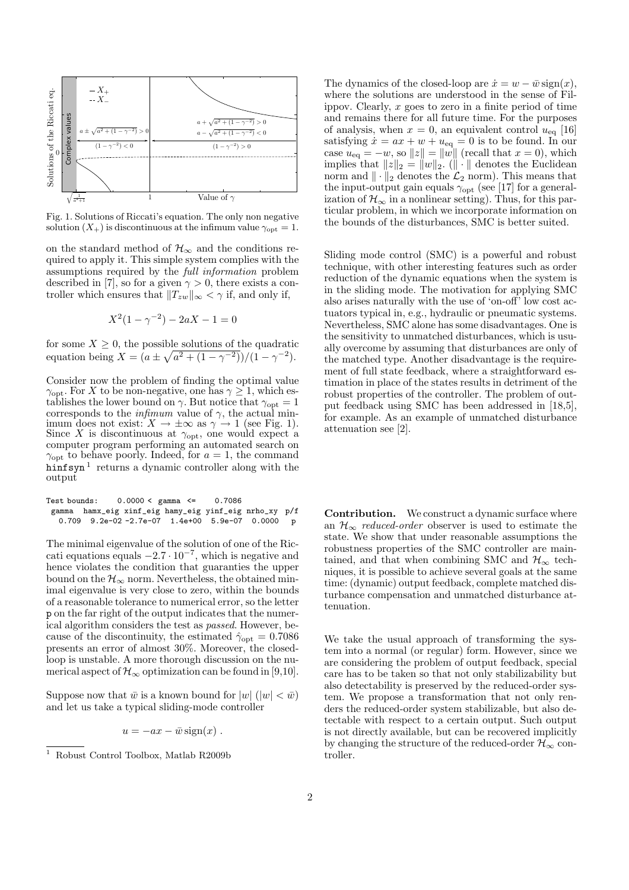

Fig. 1. Solutions of Riccati's equation. The only non negative solution  $(X_+)$  is discontinuous at the infimum value  $\gamma_{\text{opt}} = 1$ .

on the standard method of  $\mathcal{H}_{\infty}$  and the conditions required to apply it. This simple system complies with the assumptions required by the *full information* problem described in [7], so for a given  $\gamma > 0$ , there exists a controller which ensures that  $||T_{zw}||_{\infty} < \gamma$  if, and only if,

$$
X^2(1 - \gamma^{-2}) - 2aX - 1 = 0
$$

for some  $X \geq 0$ , the possible solutions of the quadratic equation being  $X = (a \pm \sqrt{a^2 + (1 - \gamma^{-2})})/(1 - \gamma^{-2}).$ 

Consider now the problem of finding the optimal value  $\gamma_{\text{opt}}$ . For X to be non-negative, one has  $\gamma \geq 1$ , which establishes the lower bound on  $\gamma$ . But notice that  $\gamma_{\text{opt}} = 1$ corresponds to the  $\text{infimum}$  value of  $\gamma$ , the actual minimum does not exist:  $X \to \pm \infty$  as  $\gamma \to 1$  (see Fig. 1). Since X is discontinuous at  $\gamma_{\text{opt}}$ , one would expect a computer program performing an automated search on  $\gamma_{\text{opt}}$  to behave poorly. Indeed, for  $a = 1$ , the command  $\hbox{hinstsyn}^1$  returns a dynamic controller along with the output

|  | Test bounds: $0.0000 \le \text{gamma} \le -0.7086$    |  |  |
|--|-------------------------------------------------------|--|--|
|  | gamma hamx_eig xinf_eig hamy_eig yinf_eig nrho_xy p/f |  |  |
|  | 0.709 9.2e-02 -2.7e-07 1.4e+00 5.9e-07 0.0000 p       |  |  |

The minimal eigenvalue of the solution of one of the Riccati equations equals  $-2.7 \cdot 10^{-7}$ , which is negative and hence violates the condition that guaranties the upper bound on the  $\mathcal{H}_{\infty}$  norm. Nevertheless, the obtained minimal eigenvalue is very close to zero, within the bounds of a reasonable tolerance to numerical error, so the letter p on the far right of the output indicates that the numerical algorithm considers the test as *passed*. However, because of the discontinuity, the estimated  $\hat{\gamma}_{\text{opt}} = 0.7086$ presents an error of almost 30%. Moreover, the closedloop is unstable. A more thorough discussion on the numerical aspect of  $\mathcal{H}_{\infty}$  optimization can be found in [9,10].

Suppose now that  $\bar{w}$  is a known bound for  $|w|$  ( $|w| < \bar{w}$ ) and let us take a typical sliding-mode controller

 $u = -ax - \bar{w}\operatorname{sign}(x)$ .

The dynamics of the closed-loop are  $\dot{x} = w - \bar{w} \operatorname{sign}(x)$ , where the solutions are understood in the sense of Filippov. Clearly, x goes to zero in a finite period of time and remains there for all future time. For the purposes of analysis, when  $x = 0$ , an equivalent control  $u_{eq}$  [16] satisfying  $\dot{x} = ax + w + u_{\text{eq}} = 0$  is to be found. In our case  $u_{eq} = -w$ , so  $||z|| = ||w||$  (recall that  $x = 0$ ), which implies that  $||z||_2 = ||w||_2$ . ( $|| \cdot ||$  denotes the Euclidean norm and  $\|\cdot\|_2$  denotes the  $\mathcal{L}_2$  norm). This means that the input-output gain equals  $\gamma_{\text{opt}}$  (see [17] for a generalization of  $\mathcal{H}_{\infty}$  in a nonlinear setting). Thus, for this particular problem, in which we incorporate information on the bounds of the disturbances, SMC is better suited.

Sliding mode control (SMC) is a powerful and robust technique, with other interesting features such as order reduction of the dynamic equations when the system is in the sliding mode. The motivation for applying SMC also arises naturally with the use of 'on-off' low cost actuators typical in, e.g., hydraulic or pneumatic systems. Nevertheless, SMC alone has some disadvantages. One is the sensitivity to unmatched disturbances, which is usually overcome by assuming that disturbances are only of the matched type. Another disadvantage is the requirement of full state feedback, where a straightforward estimation in place of the states results in detriment of the robust properties of the controller. The problem of output feedback using SMC has been addressed in [18,5], for example. As an example of unmatched disturbance attenuation see [2].

Contribution. We construct a dynamic surface where an  $\mathcal{H}_{\infty}$  *reduced-order* observer is used to estimate the state. We show that under reasonable assumptions the robustness properties of the SMC controller are maintained, and that when combining SMC and  $\mathcal{H}_{\infty}$  techniques, it is possible to achieve several goals at the same time: (dynamic) output feedback, complete matched disturbance compensation and unmatched disturbance attenuation.

We take the usual approach of transforming the system into a normal (or regular) form. However, since we are considering the problem of output feedback, special care has to be taken so that not only stabilizability but also detectability is preserved by the reduced-order system. We propose a transformation that not only renders the reduced-order system stabilizable, but also detectable with respect to a certain output. Such output is not directly available, but can be recovered implicitly by changing the structure of the reduced-order  $\mathcal{H}_{\infty}$  controller.

<sup>1</sup> Robust Control Toolbox, Matlab R2009b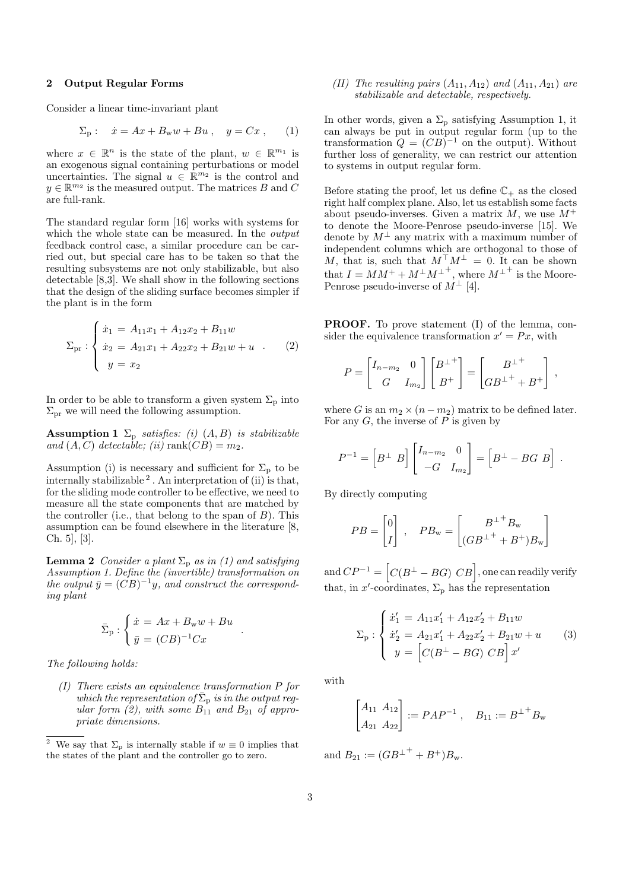## 2 Output Regular Forms

Consider a linear time-invariant plant

$$
\Sigma_{\mathbf{p}}: \quad \dot{x} = Ax + B_{\mathbf{w}}w + Bu \,, \quad y = Cx \,, \qquad (1)
$$

where  $x \in \mathbb{R}^n$  is the state of the plant,  $w \in \mathbb{R}^{m_1}$  is an exogenous signal containing perturbations or model uncertainties. The signal  $u \in \mathbb{R}^{m_2}$  is the control and  $y \in \mathbb{R}^{m_2}$  is the measured output. The matrices B and C are full-rank.

The standard regular form [16] works with systems for which the whole state can be measured. In the *output* feedback control case, a similar procedure can be carried out, but special care has to be taken so that the resulting subsystems are not only stabilizable, but also detectable [8,3]. We shall show in the following sections that the design of the sliding surface becomes simpler if the plant is in the form

$$
\Sigma_{\rm pr}: \begin{cases} \n\dot{x}_1 = A_{11}x_1 + A_{12}x_2 + B_{11}w \\
\dot{x}_2 = A_{21}x_1 + A_{22}x_2 + B_{21}w + u \quad . \quad (2) \\
y = x_2 \n\end{cases}
$$

In order to be able to transform a given system  $\Sigma_{\rm p}$  into  $\Sigma_{\text{pr}}$  we will need the following assumption.

Assumption 1  $\Sigma_p$  *satisfies: (i)*  $(A, B)$  *is stabilizable and*  $(A, C)$  *detectable;* (*ii*) rank $(CB) = m_2$ .

Assumption (i) is necessary and sufficient for  $\Sigma_{\rm p}$  to be internally stabilizable  $^2$ . An interpretation of (ii) is that, for the sliding mode controller to be effective, we need to measure all the state components that are matched by the controller (i.e., that belong to the span of  $B$ ). This assumption can be found elsewhere in the literature [8, Ch. 5], [3].

**Lemma 2** *Consider a plant*  $\Sigma_p$  *as in (1) and satisfying Assumption 1. Define the (invertible) transformation on the output*  $\bar{y} = (CB)^{-1}y$ *, and construct the corresponding plant*

$$
\bar{\Sigma}_{\rm p} : \begin{cases} \dot{x} = Ax + B_{\rm w}w + Bu \\ \bar{y} = (CB)^{-1}Cx \end{cases}
$$

.

*The following holds:*

*(I) There exists an equivalence transformation* P *for* which the representation of  $\bar{\Sigma}_{\rm p}$  is in the output reg $ular form (2), with some B<sub>11</sub> and B<sub>21</sub> of appro$ *priate dimensions.*

*(II)* The resulting pairs  $(A_{11}, A_{12})$  and  $(A_{11}, A_{21})$  are *stabilizable and detectable, respectively.*

In other words, given a  $\Sigma_p$  satisfying Assumption 1, it can always be put in output regular form (up to the transformation  $Q = (CB)^{-1}$  on the output). Without further loss of generality, we can restrict our attention to systems in output regular form.

Before stating the proof, let us define  $\mathbb{C}_+$  as the closed right half complex plane. Also, let us establish some facts about pseudo-inverses. Given a matrix  $M$ , we use  $M^+$ to denote the Moore-Penrose pseudo-inverse [15]. We denote by  $M^{\perp}$  any matrix with a maximum number of independent columns which are orthogonal to those of M, that is, such that  $M^{\top}M^{\perp} = 0$ . It can be shown that  $I = MM^+ + M^{\perp}M^{\perp^+}$ , where  $M^{\perp^+}$  is the Moore-Penrose pseudo-inverse of  $M^{\perp}$  [4].

PROOF. To prove statement (I) of the lemma, consider the equivalence transformation  $x' = Px$ , with

$$
P = \begin{bmatrix} I_{n-m_2} & 0 \\ G & I_{m_2} \end{bmatrix} \begin{bmatrix} B^{\perp^+} \\ B^+ \end{bmatrix} = \begin{bmatrix} B^{\perp^+} \\ GB^{\perp^+} + B^+ \end{bmatrix} ,
$$

where G is an  $m_2 \times (n - m_2)$  matrix to be defined later. For any  $G$ , the inverse of  $P$  is given by

$$
P^{-1} = \begin{bmatrix} B^{\perp} & B \end{bmatrix} \begin{bmatrix} I_{n-m_2} & 0 \\ -G & I_{m_2} \end{bmatrix} = \begin{bmatrix} B^{\perp} - BG & B \end{bmatrix}.
$$

By directly computing

$$
PB = \begin{bmatrix} 0 \\ I \end{bmatrix}, \quad PB_{\mathbf{w}} = \begin{bmatrix} B^{\perp +} B_{\mathbf{w}} \\ (GB^{\perp +} + B^{+})B_{\mathbf{w}} \end{bmatrix}
$$

and  $CP^{-1} = \left[ C(B^{\perp} - BG) \; CB \right]$ , one can readily verify that, in x'-coordinates,  $\Sigma_p$  has the representation

$$
\Sigma_{\rm p} : \begin{cases} \dot{x}'_1 = A_{11}x'_1 + A_{12}x'_2 + B_{11}w \\ \dot{x}'_2 = A_{21}x'_1 + A_{22}x'_2 + B_{21}w + u \\ y = \begin{bmatrix} C(B^\perp - BG) & CB \end{bmatrix} x' \end{cases} \tag{3}
$$

with

$$
\begin{bmatrix} A_{11} & A_{12} \\ A_{21} & A_{22} \end{bmatrix} := PAP^{-1}, \quad B_{11} := B^{\perp +} B_{w}
$$

and  $B_{21} := (GB^{\perp +} + B^{\perp})B_{w}$ .

<sup>&</sup>lt;sup>2</sup> We say that  $\Sigma_{\rm p}$  is internally stable if  $w \equiv 0$  implies that the states of the plant and the controller go to zero.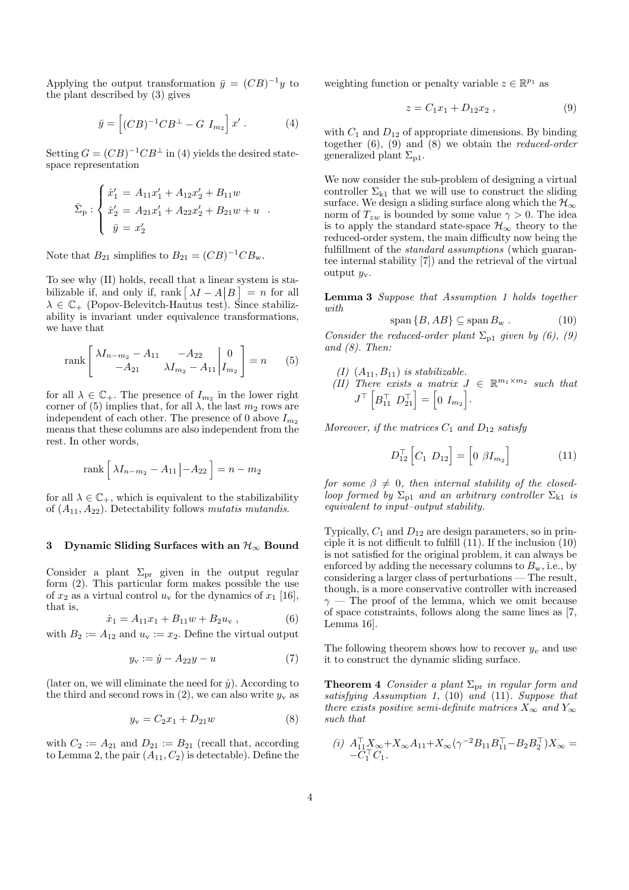Applying the output transformation  $\bar{y} = (CB)^{-1}y$  to the plant described by (3) gives

$$
\bar{y} = \left[ (CB)^{-1}CB^{\perp} - G I_{m_2} \right] x' . \tag{4}
$$

Setting  $G = (CB)^{-1}CB^{\perp}$  in (4) yields the desired statespace representation

$$
\bar{\Sigma}_{\rm p} : \begin{cases} \dot{x}_1' = A_{11}x_1' + A_{12}x_2' + B_{11}w \\ \dot{x}_2' = A_{21}x_1' + A_{22}x_2' + B_{21}w + u \\ \bar{y} = x_2' \end{cases}.
$$

Note that  $B_{21}$  simplifies to  $B_{21} = (CB)^{-1}CB_{w}$ .

To see why (II) holds, recall that a linear system is stabilizable if, and only if, rank  $\left[\lambda I - A\right]B$  = n for all  $\lambda \in \mathbb{C}_+$  (Popov-Belevitch-Hautus test). Since stabilizability is invariant under equivalence transformations, we have that

rank 
$$
\begin{bmatrix} \lambda I_{n-m_2} - A_{11} & -A_{22} \\ -A_{21} & \lambda I_{m_2} - A_{11} \end{bmatrix} \begin{bmatrix} 0 \\ I_{m_2} \end{bmatrix} = n
$$
 (5)

for all  $\lambda \in \mathbb{C}_+$ . The presence of  $I_{m_2}$  in the lower right corner of (5) implies that, for all  $\lambda$ , the last  $m_2$  rows are independent of each other. The presence of 0 above  $I_{m_2}$ means that these columns are also independent from the rest. In other words,

rank 
$$
\left[ \lambda I_{n-m_2} - A_{11} \middle| - A_{22} \right] = n - m_2
$$

for all  $\lambda \in \mathbb{C}_+$ , which is equivalent to the stabilizability of (A11, A22). Detectability follows *mutatis mutandis*.

# 3 Dynamic Sliding Surfaces with an  $\mathcal{H}_{\infty}$  Bound

Consider a plant  $\Sigma_{\text{pr}}$  given in the output regular form (2). This particular form makes possible the use of  $x_2$  as a virtual control  $u<sub>v</sub>$  for the dynamics of  $x_1$  [16], that is,

$$
\dot{x}_1 = A_{11}x_1 + B_{11}w + B_2u_v , \qquad (6)
$$

with  $B_2 := A_{12}$  and  $u_v := x_2$ . Define the virtual output

$$
y_{\mathbf{v}} := \dot{y} - A_{22}y - u \tag{7}
$$

(later on, we will eliminate the need for  $\dot{y}$ ). According to the third and second rows in (2), we can also write  $y_v$  as

$$
y_{v} = C_2 x_1 + D_{21} w \tag{8}
$$

with  $C_2 := A_{21}$  and  $D_{21} := B_{21}$  (recall that, according to Lemma 2, the pair  $(A_{11}, C_2)$  is detectable). Define the

weighting function or penalty variable  $z \in \mathbb{R}^{p_1}$  as

$$
z = C_1 x_1 + D_{12} x_2 , \t\t(9)
$$

with  $C_1$  and  $D_{12}$  of appropriate dimensions. By binding together (6), (9) and (8) we obtain the *reduced-order* generalized plant  $\Sigma_{p1}$ .

We now consider the sub-problem of designing a virtual controller  $\Sigma_{k1}$  that we will use to construct the sliding surface. We design a sliding surface along which the  $\mathcal{H}_{\infty}$ norm of  $T_{zw}$  is bounded by some value  $\gamma > 0$ . The idea is to apply the standard state-space  $\mathcal{H}_{\infty}$  theory to the reduced-order system, the main difficulty now being the fulfillment of the *standard assumptions* (which guarantee internal stability [7]) and the retrieval of the virtual output  $y_{\rm v}$ .

Lemma 3 *Suppose that Assumption 1 holds together with*

$$
\text{span}\{B, AB\} \subseteq \text{span}\, B_{\text{w}}\,. \tag{10}
$$

*Consider the reduced-order plant*  $\Sigma_{p1}$  *given by (6), (9) and (8). Then:*

 $(I)$   $(A_{11}, B_{11})$  *is stabilizable.*  $(H)$  There exists a matrix  $J \in \mathbb{R}^{m_1 \times m_2}$  such that  $J^{\top}\left[B_{11}^{\top} D_{21}^{\top}\right] = \left[0 I_{m_2}\right].$ 

*Moreover, if the matrices*  $C_1$  *and*  $D_{12}$  *satisfy* 

$$
D_{12}^{\top} \left[ C_1 \ D_{12} \right] = \left[ 0 \ \beta I_{m_2} \right] \tag{11}
$$

*for some*  $\beta \neq 0$ , then internal stability of the closed*loop formed by*  $\Sigma_{p1}$  *and an arbitrary controller*  $\Sigma_{k1}$  *is equivalent to input–output stability.*

Typically,  $C_1$  and  $D_{12}$  are design parameters, so in principle it is not difficult to fulfill (11). If the inclusion (10) is not satisfied for the original problem, it can always be enforced by adding the necessary columns to  $B_{\rm w}$ , i.e., by considering a larger class of perturbations — The result, though, is a more conservative controller with increased  $\gamma$  — The proof of the lemma, which we omit because of space constraints, follows along the same lines as [7, Lemma 16].

The following theorem shows how to recover  $y<sub>v</sub>$  and use it to construct the dynamic sliding surface.

**Theorem 4** *Consider a plant*  $\Sigma_{\text{pr}}$  *in regular form and satisfying Assumption 1,* (10) *and* (11)*. Suppose that there exists positive semi-definite matrices*  $X_{\infty}$  *and*  $Y_{\infty}$ *such that*

(i) 
$$
A_{11}^{\top} X_{\infty} + X_{\infty} A_{11} + X_{\infty} (\gamma^{-2} B_{11} B_{11}^{\top} - B_2 B_2^{\top}) X_{\infty} = -C_1^{\top} C_1.
$$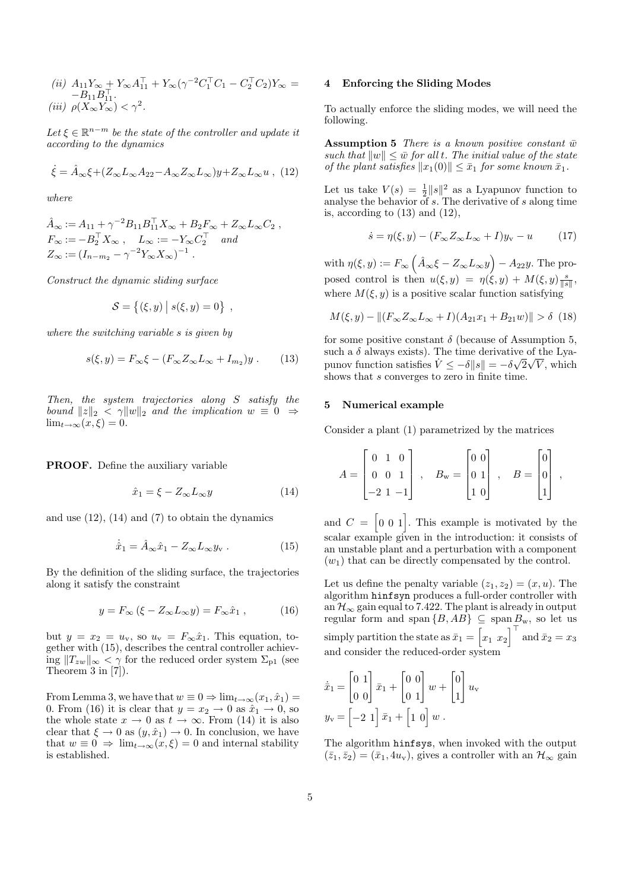(*ii*) 
$$
A_{11}Y_{\infty} + Y_{\infty}A_{11}^{\top} + Y_{\infty}(\gamma^{-2}C_{1}^{\top}C_{1} - C_{2}^{\top}C_{2})Y_{\infty} =
$$
  
 $-B_{11}B_{11}^{\top}.$   
(*iii*)  $\rho(X_{\infty}Y_{\infty}) < \gamma^{2}.$ 

Let  $\xi \in \mathbb{R}^{n-m}$  *be the state of the controller and update it according to the dynamics*

$$
\dot{\xi} = \hat{A}_{\infty}\xi + (Z_{\infty}L_{\infty}A_{22} - A_{\infty}Z_{\infty}L_{\infty})y + Z_{\infty}L_{\infty}u , (12)
$$

*where*

 $\hat{A}_{\infty} := A_{11} + \gamma^{-2} B_{11} B_{11}^{\top} X_{\infty} + B_2 F_{\infty} + Z_{\infty} L_{\infty} C_2$ ,  $F_{\infty} := -B_2^{\top} X_{\infty} , \quad L_{\infty} := -Y_{\infty} C_2^{\top} \quad and$  $Z_{\infty} := (I_{n-m_2} - \gamma^{-2} Y_{\infty} X_{\infty})^{-1}.$ 

*Construct the dynamic sliding surface*

$$
S = \{ (\xi, y) | s(\xi, y) = 0 \},
$$

*where the switching variable* s *is given by*

$$
s(\xi, y) = F_{\infty}\xi - (F_{\infty}Z_{\infty}L_{\infty} + I_{m_2})y .
$$
 (13)

*Then, the system trajectories along* S *satisfy the bound*  $||z||_2 < \gamma ||w||_2$  *and the implication*  $w \equiv 0 \Rightarrow$  $\lim_{t\to\infty}(x,\xi)=0.$ 

PROOF. Define the auxiliary variable

$$
\hat{x}_1 = \xi - Z_{\infty} L_{\infty} y \tag{14}
$$

and use  $(12)$ ,  $(14)$  and  $(7)$  to obtain the dynamics

$$
\dot{\hat{x}}_1 = \hat{A}_{\infty}\hat{x}_1 - Z_{\infty}L_{\infty}y_{\rm v} \ . \tag{15}
$$

By the definition of the sliding surface, the trajectories along it satisfy the constraint

$$
y = F_{\infty} (\xi - Z_{\infty} L_{\infty} y) = F_{\infty} \hat{x}_1 , \qquad (16)
$$

but  $y = x_2 = u_v$ , so  $u_v = F_\infty \hat{x}_1$ . This equation, together with (15), describes the central controller achieving  $||T_{zw}||_{\infty} < \gamma$  for the reduced order system  $\Sigma_{p1}$  (see Theorem 3 in [7]).

From Lemma 3, we have that  $w \equiv 0 \Rightarrow \lim_{t \to \infty} (x_1, \hat{x}_1) =$ 0. From (16) it is clear that  $y = x_2 \rightarrow 0$  as  $\hat{x}_1 \rightarrow 0$ , so the whole state  $x \to 0$  as  $t \to \infty$ . From (14) it is also clear that  $\xi \to 0$  as  $(y, \hat{x}_1) \to 0$ . In conclusion, we have that  $w \equiv 0 \Rightarrow \lim_{t \to \infty} (x, \xi) = 0$  and internal stability is established.

## 4 Enforcing the Sliding Modes

To actually enforce the sliding modes, we will need the following.

**Assumption 5** *There is a known positive constant*  $\bar{w}$ *such that*  $||w|| \leq \bar{w}$  *for all t. The initial value of the state of the plant satisfies*  $||x_1(0)|| \le \bar{x}_1$  *for some known*  $\bar{x}_1$ *.* 

Let us take  $V(s) = \frac{1}{2} ||s||^2$  as a Lyapunov function to analyse the behavior of s. The derivative of s along time is, according to (13) and (12),

$$
\dot{s} = \eta(\xi, y) - (F_{\infty} Z_{\infty} L_{\infty} + I)y_{\rm v} - u \tag{17}
$$

with  $\eta(\xi, y) := F_{\infty} \left( \hat{A}_{\infty} \xi - Z_{\infty} L_{\infty} y \right) - A_{22} y$ . The proposed control is then  $u(\xi, y) = \eta(\xi, y) + M(\xi, y) \frac{s}{\|s\|}$ , where  $M(\xi, y)$  is a positive scalar function satisfying

$$
M(\xi, y) - ||(F_{\infty} Z_{\infty} L_{\infty} + I)(A_{21} x_1 + B_{21} w)|| > \delta
$$
 (18)

for some positive constant  $\delta$  (because of Assumption 5, such a  $\delta$  always exists). The time derivative of the Lyapunov function satisfies  $\dot{V} \leq -\delta ||s|| = -\delta \sqrt{2} \sqrt{V}$ , which shows that s converges to zero in finite time.

### 5 Numerical example

Consider a plant (1) parametrized by the matrices

$$
A = \begin{bmatrix} 0 & 1 & 0 \\ 0 & 0 & 1 \\ -2 & 1 & -1 \end{bmatrix} , B_{\mathbf{w}} = \begin{bmatrix} 0 & 0 \\ 0 & 1 \\ 1 & 0 \end{bmatrix} , B = \begin{bmatrix} 0 \\ 0 \\ 1 \end{bmatrix} ,
$$

and  $C = \begin{bmatrix} 0 & 0 & 1 \end{bmatrix}$ . This example is motivated by the scalar example given in the introduction: it consists of an unstable plant and a perturbation with a component  $(w_1)$  that can be directly compensated by the control.

Let us define the penalty variable  $(z_1, z_2) = (x, u)$ . The algorithm hinfsyn produces a full-order controller with an  $\mathcal{H}_{\infty}$  gain equal to 7.422. The plant is already in output regular form and span  $\{B, AB\} \subseteq \text{span } B_{\text{w}}$ , so let us simply partition the state as  $\bar{x}_1 = \begin{bmatrix} x_1 & x_2 \end{bmatrix}^\top$  and  $\bar{x}_2 = x_3$ and consider the reduced-order system

$$
\dot{\bar{x}}_1 = \begin{bmatrix} 0 & 1 \\ 0 & 0 \end{bmatrix} \bar{x}_1 + \begin{bmatrix} 0 & 0 \\ 0 & 1 \end{bmatrix} w + \begin{bmatrix} 0 \\ 1 \end{bmatrix} u_v
$$

$$
y_v = \begin{bmatrix} -2 & 1 \end{bmatrix} \bar{x}_1 + \begin{bmatrix} 1 & 0 \end{bmatrix} w.
$$

The algorithm hinfsys, when invoked with the output  $(\bar{z}_1, \bar{z}_2) = (\bar{x}_1, 4u_v)$ , gives a controller with an  $\mathcal{H}_{\infty}$  gain